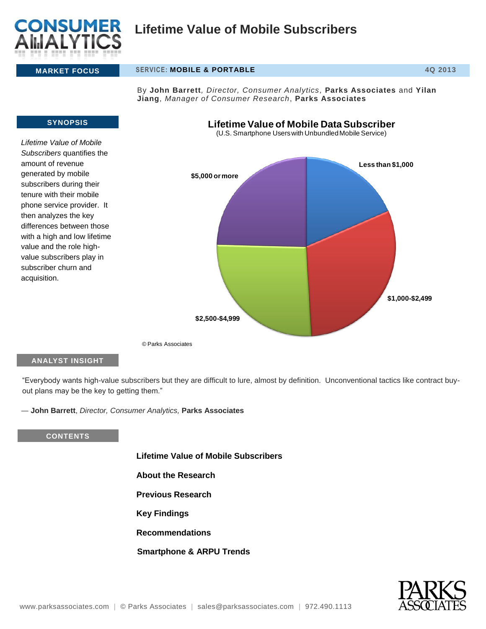

## **MARKET FOCUS SERVICE: MOBILE & PORTABLE 4Q 2013**

By **John Barrett***, Director, Consumer Analytics,* **Parks Associates** and **Yilan Jiang**, *Manager of Consumer Research*, **Parks Associates**

# **SYNOPSIS** *Lifetime Value of Mobile Subscribers* quantifies the amount of revenue generated by mobile subscribers during their tenure with their mobile phone service provider. It then analyzes the key differences between those with a high and low lifetime value and the role highvalue subscribers play in subscriber churn and acquisition. **Less than \$1,000 \$1,000-\$2,499 \$2,500-\$4,999 \$5,000 or more Lifetime Value of Mobile Data Subscriber** (U.S. Smartphone Users with Unbundled Mobile Service)

© Parks Associates

# **ANALYST INSIGHT**

"Everybody wants high-value subscribers but they are difficult to lure, almost by definition. Unconventional tactics like contract buyout plans may be the key to getting them."

― **John Barrett**, *Director, Consumer Analytics,* **Parks Associates**

#### **CONTENTS**

**Lifetime Value of Mobile Subscribers**

- **About the Research**
- **Previous Research**
- **Key Findings**
- **Recommendations**
- **Smartphone & ARPU Trends**

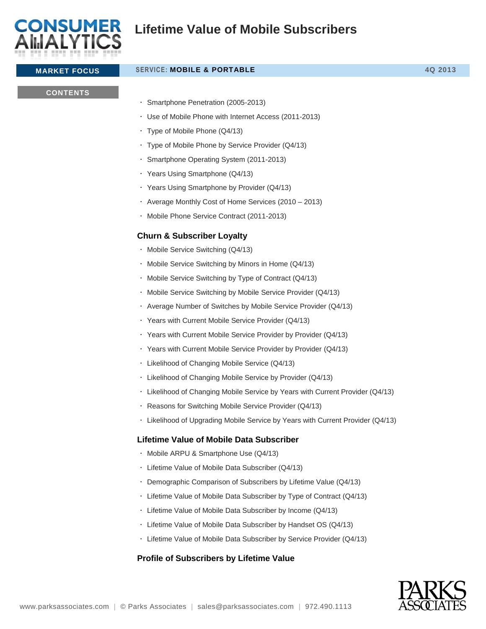

| <b>MARKET FOCUS</b> | <b>SERVICE: MOBILE &amp; PORTABLE</b>                                           | 4Q 2013 |
|---------------------|---------------------------------------------------------------------------------|---------|
| <b>CONTENTS</b>     |                                                                                 |         |
|                     | $\cdot$ Smartphone Penetration (2005-2013)                                      |         |
|                     | · Use of Mobile Phone with Internet Access (2011-2013)                          |         |
|                     | · Type of Mobile Phone (Q4/13)                                                  |         |
|                     | · Type of Mobile Phone by Service Provider (Q4/13)                              |         |
|                     | · Smartphone Operating System (2011-2013)                                       |         |
|                     | · Years Using Smartphone (Q4/13)                                                |         |
|                     | · Years Using Smartphone by Provider (Q4/13)                                    |         |
|                     | · Average Monthly Cost of Home Services (2010 - 2013)                           |         |
|                     | · Mobile Phone Service Contract (2011-2013)                                     |         |
|                     | <b>Churn &amp; Subscriber Loyalty</b>                                           |         |
|                     | · Mobile Service Switching (Q4/13)                                              |         |
|                     | · Mobile Service Switching by Minors in Home (Q4/13)                            |         |
|                     | · Mobile Service Switching by Type of Contract (Q4/13)                          |         |
|                     | · Mobile Service Switching by Mobile Service Provider (Q4/13)                   |         |
|                     | · Average Number of Switches by Mobile Service Provider (Q4/13)                 |         |
|                     | • Years with Current Mobile Service Provider (Q4/13)                            |         |
|                     | · Years with Current Mobile Service Provider by Provider (Q4/13)                |         |
|                     | · Years with Current Mobile Service Provider by Provider (Q4/13)                |         |
|                     | · Likelihood of Changing Mobile Service (Q4/13)                                 |         |
|                     | · Likelihood of Changing Mobile Service by Provider (Q4/13)                     |         |
|                     | · Likelihood of Changing Mobile Service by Years with Current Provider (Q4/13)  |         |
|                     | Reasons for Switching Mobile Service Provider (Q4/13)                           |         |
|                     | · Likelihood of Upgrading Mobile Service by Years with Current Provider (Q4/13) |         |
|                     | <b>Lifetime Value of Mobile Data Subscriber</b>                                 |         |
|                     | · Mobile ARPU & Smartphone Use (Q4/13)                                          |         |
|                     | · Lifetime Value of Mobile Data Subscriber (Q4/13)                              |         |
|                     | • Demographic Comparison of Subscribers by Lifetime Value (Q4/13)               |         |
|                     | · Lifetime Value of Mobile Data Subscriber by Type of Contract (Q4/13)          |         |
|                     | · Lifetime Value of Mobile Data Subscriber by Income (Q4/13)                    |         |
|                     | · Lifetime Value of Mobile Data Subscriber by Handset OS (Q4/13)                |         |
|                     | · Lifetime Value of Mobile Data Subscriber by Service Provider (Q4/13)          |         |
|                     | Profile of Subscribers by Lifetime Value                                        |         |

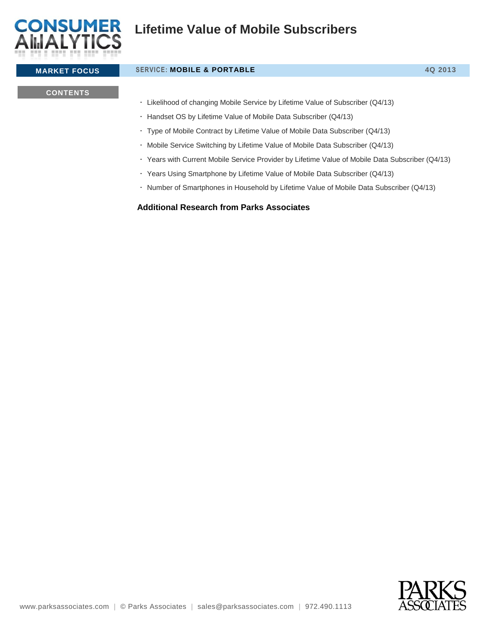

# **MARKET FOCUS SERVICE: MOBILE & PORTABLE 4Q 2013**

### **CONTENTS**

Likelihood of changing Mobile Service by Lifetime Value of Subscriber (Q4/13)

Handset OS by Lifetime Value of Mobile Data Subscriber (Q4/13)

Type of Mobile Contract by Lifetime Value of Mobile Data Subscriber (Q4/13)

Mobile Service Switching by Lifetime Value of Mobile Data Subscriber (Q4/13)

Years with Current Mobile Service Provider by Lifetime Value of Mobile Data Subscriber (Q4/13)

Years Using Smartphone by Lifetime Value of Mobile Data Subscriber (Q4/13)

• Number of Smartphones in Household by Lifetime Value of Mobile Data Subscriber (Q4/13)

### **Additional Research from Parks Associates**